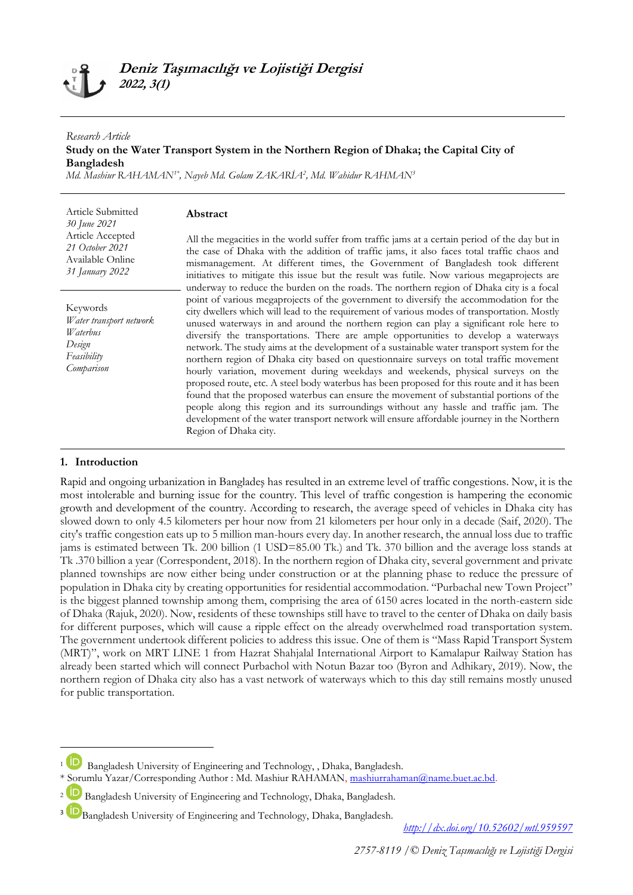# **Deniz Taşımacılığı ve Lojistiği Dergisi 2022, 3(1)**

**Abstract**

### *Research Article* **Study on the Water Transport System in the Northern Region of Dhaka; the Capital City of Bangladesh**

*Md. Mashiur RAHAMAN1\* , Nayeb Md. Golam ZAKARİA<sup>2</sup> , Md. Wahidur RAHMAN<sup>3</sup>*

Article Submitted *30 June 2021* Article Accepted *21 October 2021* Available Online *31 January 2022*

Keywords *Water transport network Waterbus Design Feasibility Comparison*

All the megacities in the world suffer from traffic jams at a certain period of the day but in the case of Dhaka with the addition of traffic jams, it also faces total traffic chaos and mismanagement. At different times, the Government of Bangladesh took different initiatives to mitigate this issue but the result was futile. Now various megaprojects are underway to reduce the burden on the roads. The northern region of Dhaka city is a focal point of various megaprojects of the government to diversify the accommodation for the city dwellers which will lead to the requirement of various modes of transportation. Mostly unused waterways in and around the northern region can play a significant role here to diversify the transportations. There are ample opportunities to develop a waterways network. The study aims at the development of a sustainable water transport system for the northern region of Dhaka city based on questionnaire surveys on total traffic movement hourly variation, movement during weekdays and weekends, physical surveys on the proposed route, etc. A steel body waterbus has been proposed for this route and it has been found that the proposed waterbus can ensure the movement of substantial portions of the people along this region and its surroundings without any hassle and traffic jam. The development of the water transport network will ensure affordable journey in the Northern Region of Dhaka city.

### **1. Introduction**

**.** 

Rapid and ongoing urbanization in Bangladeş has resulted in an extreme level of traffic congestions. Now, it is the most intolerable and burning issue for the country. This level of traffic congestion is hampering the economic growth and development of the country. According to research, the average speed of vehicles in Dhaka city has slowed down to only 4.5 kilometers per hour now from 21 kilometers per hour only in a decade (Saif, 2020). The city's traffic congestion eats up to 5 million man-hours every day. In another research, the annual loss due to traffic jams is estimated between Tk. 200 billion (1 USD=85.00 Tk.) and Tk. 370 billion and the average loss stands at Tk .370 billion a year (Correspondent, 2018). In the northern region of Dhaka city, several government and private planned townships are now either being under construction or at the planning phase to reduce the pressure of population in Dhaka city by creating opportunities for residential accommodation. "Purbachal new Town Project" is the biggest planned township among them, comprising the area of 6150 acres located in the north-eastern side of Dhaka (Rajuk, 2020). Now, residents of these townships still have to travel to the center of Dhaka on daily basis for different purposes, which will cause a ripple effect on the already overwhelmed road transportation system. The government undertook different policies to address this issue. One of them is "Mass Rapid Transport System (MRT)", work on MRT LINE 1 from Hazrat Shahjalal International Airport to Kamalapur Railway Station has already been started which will connect Purbachol with Notun Bazar too (Byron and Adhikary, 2019). Now, the northern region of Dhaka city also has a vast network of waterways which to this day still remains mostly unused for public transportation.

*<http://dx.doi.org/10.52602/mtl.959597>*

<sup>&</sup>lt;sup>1</sup> Bangladesh University of Engineering and Technology, , Dhaka, Bangladesh.

<sup>\*</sup> Sorumlu Yazar/Corresponding Author : Md. Mashiur RAHAMAN, [mashiurrahaman@name.buet.ac.bd.](mailto:mashiurrahaman@name.buet.ac.bd)

<sup>&</sup>lt;sup>2</sup> Bangladesh University of Engineering and Technology, Dhaka, Bangladesh.

<sup>&</sup>lt;sup>3</sup> Bangladesh University of Engineering and Technology, Dhaka, Bangladesh.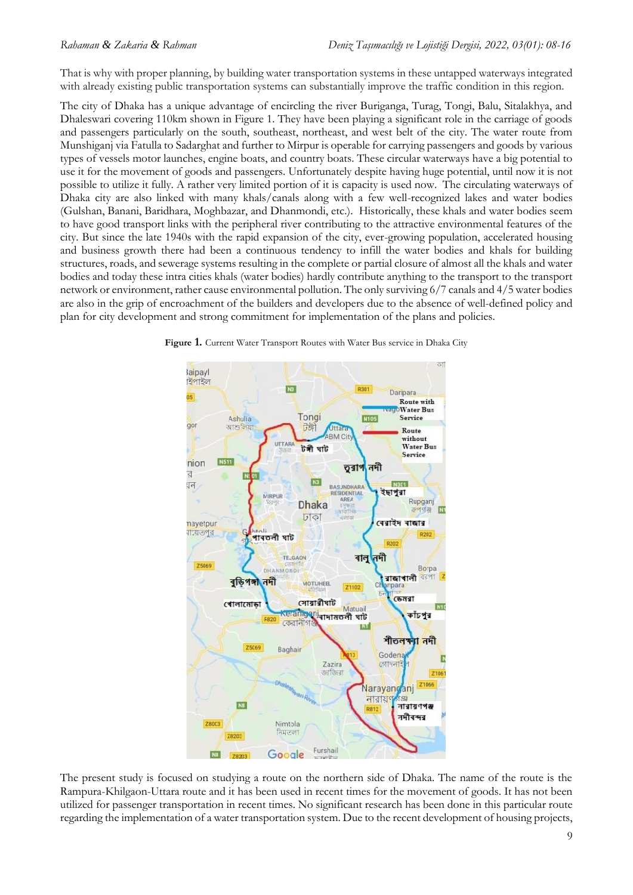That is why with proper planning, by building water transportation systems in these untapped waterways integrated with already existing public transportation systems can substantially improve the traffic condition in this region.

The city of Dhaka has a unique advantage of encircling the river Buriganga, Turag, Tongi, Balu, Sitalakhya, and Dhaleswari covering 110km shown in Figure 1. They have been playing a significant role in the carriage of goods and passengers particularly on the south, southeast, northeast, and west belt of the city. The water route from Munshiganj via Fatulla to Sadarghat and further to Mirpur is operable for carrying passengers and goods by various types of vessels motor launches, engine boats, and country boats. These circular waterways have a big potential to use it for the movement of goods and passengers. Unfortunately despite having huge potential, until now it is not possible to utilize it fully. A rather very limited portion of it is capacity is used now. The circulating waterways of Dhaka city are also linked with many khals/canals along with a few well-recognized lakes and water bodies (Gulshan, Banani, Baridhara, Moghbazar, and Dhanmondi, etc.). Historically, these khals and water bodies seem to have good transport links with the peripheral river contributing to the attractive environmental features of the city. But since the late 1940s with the rapid expansion of the city, ever-growing population, accelerated housing and business growth there had been a continuous tendency to infill the water bodies and khals for building structures, roads, and sewerage systems resulting in the complete or partial closure of almost all the khals and water bodies and today these intra cities khals (water bodies) hardly contribute anything to the transport to the transport network or environment, rather cause environmental pollution. The only surviving 6/7 canals and 4/5 water bodies are also in the grip of encroachment of the builders and developers due to the absence of well-defined policy and plan for city development and strong commitment for implementation of the plans and policies.



**Figure 1.** Current Water Transport Routes with Water Bus service in Dhaka City

The present study is focused on studying a route on the northern side of Dhaka. The name of the route is the Rampura-Khilgaon-Uttara route and it has been used in recent times for the movement of goods. It has not been utilized for passenger transportation in recent times. No significant research has been done in this particular route regarding the implementation of a water transportation system. Due to the recent development of housing projects,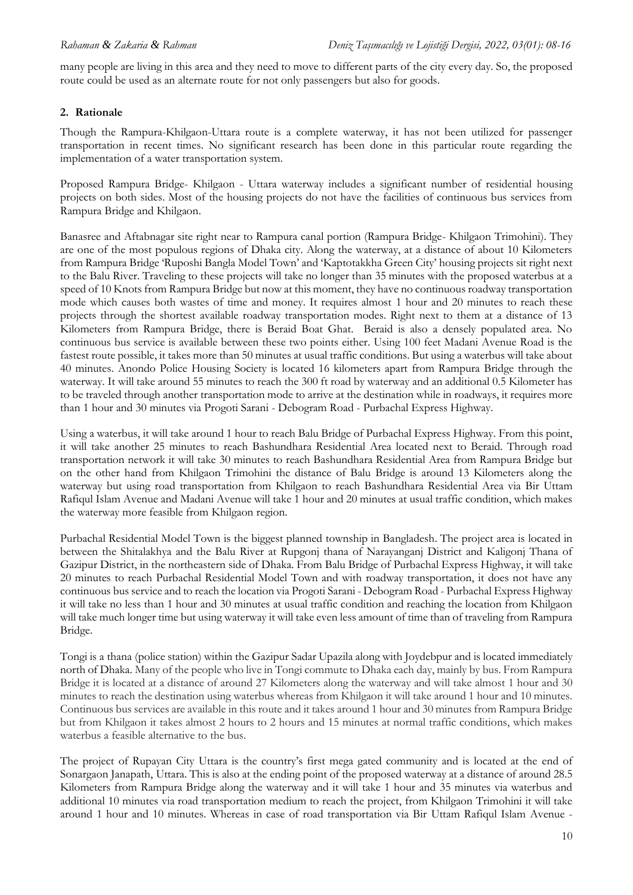many people are living in this area and they need to move to different parts of the city every day. So, the proposed route could be used as an alternate route for not only passengers but also for goods.

## **2. Rationale**

Though the Rampura-Khilgaon-Uttara route is a complete waterway, it has not been utilized for passenger transportation in recent times. No significant research has been done in this particular route regarding the implementation of a water transportation system.

Proposed Rampura Bridge- Khilgaon - Uttara waterway includes a significant number of residential housing projects on both sides. Most of the housing projects do not have the facilities of continuous bus services from Rampura Bridge and Khilgaon.

Banasree and Aftabnagar site right near to Rampura canal portion (Rampura Bridge- Khilgaon Trimohini). They are one of the most populous regions of Dhaka city. Along the waterway, at a distance of about 10 Kilometers from Rampura Bridge 'Ruposhi Bangla Model Town' and 'Kaptotakkha Green City' housing projects sit right next to the Balu River. Traveling to these projects will take no longer than 35 minutes with the proposed waterbus at a speed of 10 Knots from Rampura Bridge but now at this moment, they have no continuous roadway transportation mode which causes both wastes of time and money. It requires almost 1 hour and 20 minutes to reach these projects through the shortest available roadway transportation modes. Right next to them at a distance of 13 Kilometers from Rampura Bridge, there is Beraid Boat Ghat. Beraid is also a densely populated area. No continuous bus service is available between these two points either. Using 100 feet Madani Avenue Road is the fastest route possible, it takes more than 50 minutes at usual traffic conditions. But using a waterbus will take about 40 minutes. Anondo Police Housing Society is located 16 kilometers apart from Rampura Bridge through the waterway. It will take around 55 minutes to reach the 300 ft road by waterway and an additional 0.5 Kilometer has to be traveled through another transportation mode to arrive at the destination while in roadways, it requires more than 1 hour and 30 minutes via Progoti Sarani - Debogram Road - Purbachal Express Highway.

Using a waterbus, it will take around 1 hour to reach Balu Bridge of Purbachal Express Highway. From this point, it will take another 25 minutes to reach Bashundhara Residential Area located next to Beraid. Through road transportation network it will take 30 minutes to reach Bashundhara Residential Area from Rampura Bridge but on the other hand from Khilgaon Trimohini the distance of Balu Bridge is around 13 Kilometers along the waterway but using road transportation from Khilgaon to reach Bashundhara Residential Area via Bir Uttam Rafiqul Islam Avenue and Madani Avenue will take 1 hour and 20 minutes at usual traffic condition, which makes the waterway more feasible from Khilgaon region.

Purbachal Residential Model Town is the biggest planned township in Bangladesh. The project area is located in between the Shitalakhya and the Balu River at Rupgonj thana of Narayanganj District and Kaligonj Thana of Gazipur District, in the northeastern side of Dhaka. From Balu Bridge of Purbachal Express Highway, it will take 20 minutes to reach Purbachal Residential Model Town and with roadway transportation, it does not have any continuous bus service and to reach the location via Progoti Sarani - Debogram Road - Purbachal Express Highway it will take no less than 1 hour and 30 minutes at usual traffic condition and reaching the location from Khilgaon will take much longer time but using waterway it will take even less amount of time than of traveling from Rampura Bridge.

Tongi is a thana (police station) within the Gazipur Sadar Upazila along with Joydebpur and is located immediately north of Dhaka. Many of the people who live in Tongi commute to Dhaka each day, mainly by bus. From Rampura Bridge it is located at a distance of around 27 Kilometers along the waterway and will take almost 1 hour and 30 minutes to reach the destination using waterbus whereas from Khilgaon it will take around 1 hour and 10 minutes. Continuous bus services are available in this route and it takes around 1 hour and 30 minutes from Rampura Bridge but from Khilgaon it takes almost 2 hours to 2 hours and 15 minutes at normal traffic conditions, which makes waterbus a feasible alternative to the bus.

The project of Rupayan City Uttara is the country's first mega gated community and is located at the end of Sonargaon Janapath, Uttara. This is also at the ending point of the proposed waterway at a distance of around 28.5 Kilometers from Rampura Bridge along the waterway and it will take 1 hour and 35 minutes via waterbus and additional 10 minutes via road transportation medium to reach the project, from Khilgaon Trimohini it will take around 1 hour and 10 minutes. Whereas in case of road transportation via Bir Uttam Rafiqul Islam Avenue -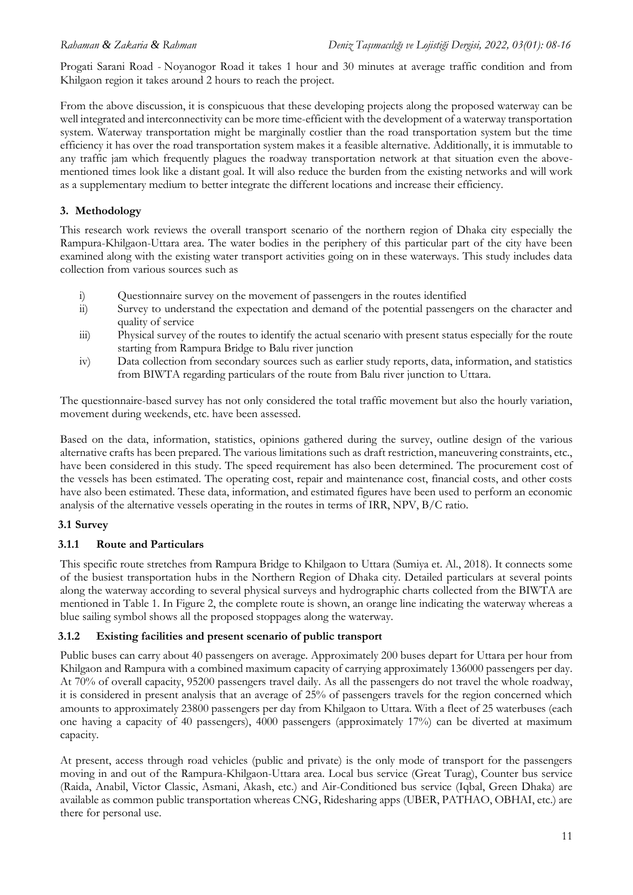Progati Sarani Road - Noyanogor Road it takes 1 hour and 30 minutes at average traffic condition and from Khilgaon region it takes around 2 hours to reach the project.

From the above discussion, it is conspicuous that these developing projects along the proposed waterway can be well integrated and interconnectivity can be more time-efficient with the development of a waterway transportation system. Waterway transportation might be marginally costlier than the road transportation system but the time efficiency it has over the road transportation system makes it a feasible alternative. Additionally, it is immutable to any traffic jam which frequently plagues the roadway transportation network at that situation even the abovementioned times look like a distant goal. It will also reduce the burden from the existing networks and will work as a supplementary medium to better integrate the different locations and increase their efficiency.

### **3. Methodology**

This research work reviews the overall transport scenario of the northern region of Dhaka city especially the Rampura-Khilgaon-Uttara area. The water bodies in the periphery of this particular part of the city have been examined along with the existing water transport activities going on in these waterways. This study includes data collection from various sources such as

- i) Questionnaire survey on the movement of passengers in the routes identified
- ii) Survey to understand the expectation and demand of the potential passengers on the character and quality of service
- iii) Physical survey of the routes to identify the actual scenario with present status especially for the route starting from Rampura Bridge to Balu river junction
- iv) Data collection from secondary sources such as earlier study reports, data, information, and statistics from BIWTA regarding particulars of the route from Balu river junction to Uttara.

The questionnaire-based survey has not only considered the total traffic movement but also the hourly variation, movement during weekends, etc. have been assessed.

Based on the data, information, statistics, opinions gathered during the survey, outline design of the various alternative crafts has been prepared. The various limitations such as draft restriction, maneuvering constraints, etc., have been considered in this study. The speed requirement has also been determined. The procurement cost of the vessels has been estimated. The operating cost, repair and maintenance cost, financial costs, and other costs have also been estimated. These data, information, and estimated figures have been used to perform an economic analysis of the alternative vessels operating in the routes in terms of IRR, NPV, B/C ratio.

## **3.1 Survey**

## **3.1.1 Route and Particulars**

This specific route stretches from Rampura Bridge to Khilgaon to Uttara (Sumiya et. Al., 2018). It connects some of the busiest transportation hubs in the Northern Region of Dhaka city. Detailed particulars at several points along the waterway according to several physical surveys and hydrographic charts collected from the BIWTA are mentioned in Table 1. In Figure 2, the complete route is shown, an orange line indicating the waterway whereas a blue sailing symbol shows all the proposed stoppages along the waterway.

### **3.1.2 Existing facilities and present scenario of public transport**

Public buses can carry about 40 passengers on average. Approximately 200 buses depart for Uttara per hour from Khilgaon and Rampura with a combined maximum capacity of carrying approximately 136000 passengers per day. At 70% of overall capacity, 95200 passengers travel daily. As all the passengers do not travel the whole roadway, it is considered in present analysis that an average of 25% of passengers travels for the region concerned which amounts to approximately 23800 passengers per day from Khilgaon to Uttara. With a fleet of 25 waterbuses (each one having a capacity of 40 passengers), 4000 passengers (approximately 17%) can be diverted at maximum capacity.

At present, access through road vehicles (public and private) is the only mode of transport for the passengers moving in and out of the Rampura-Khilgaon-Uttara area. Local bus service (Great Turag), Counter bus service (Raida, Anabil, Victor Classic, Asmani, Akash, etc.) and Air-Conditioned bus service (Iqbal, Green Dhaka) are available as common public transportation whereas CNG, Ridesharing apps (UBER, PATHAO, OBHAI, etc.) are there for personal use.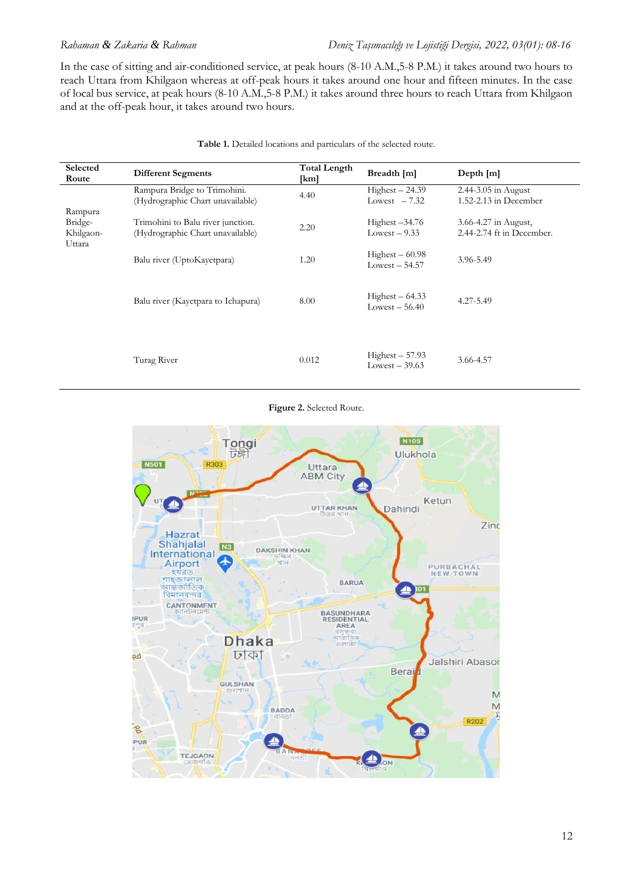*Rahaman & Zakaria & Rahman Deniz Taşımacılığı ve Lojistiği Dergisi, 2022, 03(01): 08-16*

In the case of sitting and air-conditioned service, at peak hours (8-10 A.M.,5-8 P.M.) it takes around two hours to reach Uttara from Khilgaon whereas at off-peak hours it takes around one hour and fifteen minutes. In the case of local bus service, at peak hours (8-10 A.M.,5-8 P.M.) it takes around three hours to reach Uttara from Khilgaon and at the off-peak hour, it takes around two hours.

| Selected<br>Route                         | <b>Different Segments</b>                                             | <b>Total Length</b><br>[km] | Breadth [m]                        | Depth $[m]$                                          |
|-------------------------------------------|-----------------------------------------------------------------------|-----------------------------|------------------------------------|------------------------------------------------------|
|                                           | Rampura Bridge to Trimohini.<br>(Hydrographic Chart unavailable)      | 4.40                        | $Higher-24.39$<br>Lowest $-7.32$   | $2.44 - 3.05$ in August<br>$1.52 - 2.13$ in December |
| Rampura<br>Bridge-<br>Khilgaon-<br>Uttara | Trimohini to Balu river junction.<br>(Hydrographic Chart unavailable) | 2.20                        | Highest $-34.76$<br>Lowest $-9.33$ | 3.66-4.27 in August,<br>2.44-2.74 ft in December.    |
|                                           | Balu river (UptoKayetpara)                                            | 1.20                        | $Higher-60.98$<br>$Lowest - 54.57$ | 3.96-5.49                                            |
|                                           | Balu river (Kayetpara to Ichapura)                                    | 8.00                        | $Higher-64.33$<br>Lowest $-56.40$  | 4.27-5.49                                            |
|                                           | Turag River                                                           | 0.012                       | $Higher-57.93$<br>Lowest $-39.63$  | 3.66-4.57                                            |

**Table 1.** Detailed locations and particulars of the selected route.

**Figure 2.** Selected Route.

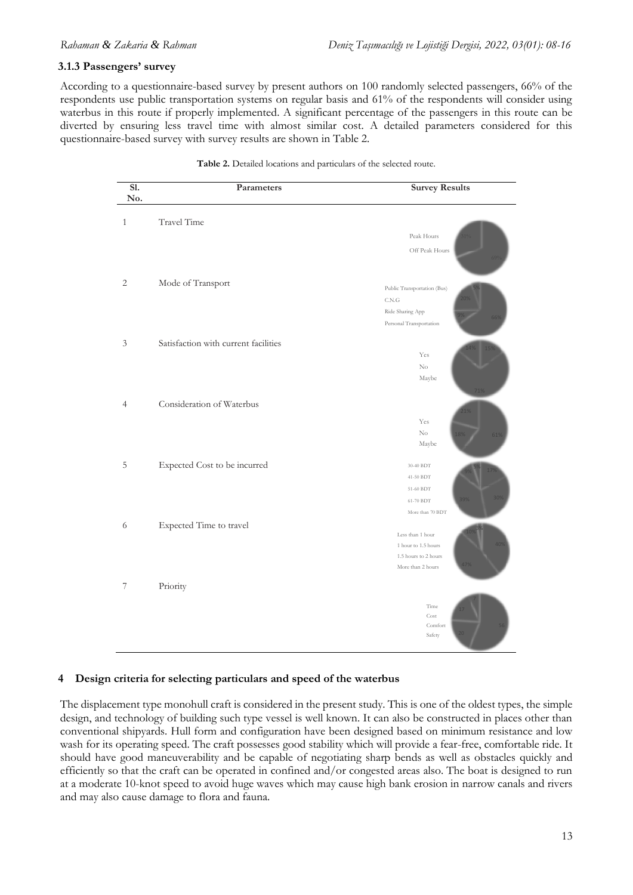### **3.1.3 Passengers' survey**

According to a questionnaire-based survey by present authors on 100 randomly selected passengers, 66% of the respondents use public transportation systems on regular basis and 61% of the respondents will consider using waterbus in this route if properly implemented. A significant percentage of the passengers in this route can be diverted by ensuring less travel time with almost similar cost. A detailed parameters considered for this diverted by ensuring less travel time with almost similar cost. A detailed parameters considered for this questionnaire-based survey with survey results are shown in Table 2. etaled parameters considered for t ased survey by present authors on 100 randomly selected passengers, 66% of the • which factor will you prioritize the most with the most with current factor  $\frac{1}{2}$  $s \sim \frac{1}{2}$  sigmilar will you prefer ravel time with almost similar cost. A detailed parameters considered for this 11. Which factor will you prioritize the most while using any transportation system?

| S1.<br>No.                  | Parameters                           | <b>Survey Results</b>       |
|-----------------------------|--------------------------------------|-----------------------------|
| $\mathbf{1}$                | Travel Time                          |                             |
|                             |                                      | Peak Hours                  |
|                             |                                      | Off Peak Hours              |
| $\sqrt{2}$                  | Mode of Transport                    | Public Transportation (Bus) |
|                             |                                      | $\mbox{C.N.G}$              |
|                             |                                      | Ride Sharing App            |
|                             |                                      | Personal Transportation     |
| $\ensuremath{\mathfrak{Z}}$ | Satisfaction with current facilities |                             |
|                             |                                      | Yes                         |
|                             |                                      | $\mathrm{No}$               |
|                             |                                      | Maybe                       |
| $\overline{4}$              | Consideration of Waterbus            |                             |
|                             |                                      |                             |
|                             |                                      | Yes<br>$\rm No$             |
|                             |                                      | Maybe                       |
| 5                           | Expected Cost to be incurred         | 30-40 BDT                   |
|                             |                                      | 41-50 BDT                   |
|                             |                                      | 51-60 BDT                   |
|                             |                                      | 61-70 BDT                   |
|                             |                                      | More than 70 BDT            |
| 6                           | Expected Time to travel              | Less than 1 hour            |
|                             |                                      | 1 hour to 1.5 hours         |
|                             |                                      | 1.5 hours to 2 hours        |
|                             |                                      | More than 2 hours           |
| $\boldsymbol{7}$            | Priority                             |                             |
|                             |                                      | Time                        |
|                             |                                      | Cost                        |
|                             |                                      | Comfort<br>Safety           |
|                             |                                      |                             |

| <b>Table 2.</b> Detailed locations and particulars of the selected route. |
|---------------------------------------------------------------------------|
|---------------------------------------------------------------------------|

The collected information obtained from these surveys are shown below as graphical representations.

### 4 Design criteria for selecting particulars and speed of the waterbus w

The displacement type monohull craft is considered in the present study. This is one of the oldest types, the simple design, and technology of building such type vessel is well known. It can also be constructed in places other than conventional shipyards. Hull form and configuration have been designed based on minimum resistance and low wash for its operating speed. The craft possesses good stability which will provide a fear-free, comfortable ride. It should have good maneuverability and be capable of negotiating sharp bends as well as obstacles quickly and efficiently so that the craft can be operated in confined and/or congested areas also. The boat is designed to run at a moderate 10-knot speed to avoid huge waves which may cause high bank erosion in narrow canals and rivers and may also cause damage to flora and fauna. m provide a real-free, comfortable free. It patik efosion in naffow canals and fivers aft possesses good stability which will provide a fear-free, comfortable ride. It pascu on mimimum resistance and tow  $\omega$  are a fleet  $\omega$  and  $\omega$  approximately  $\omega$  and  $\omega$ are the theories the substance of sur-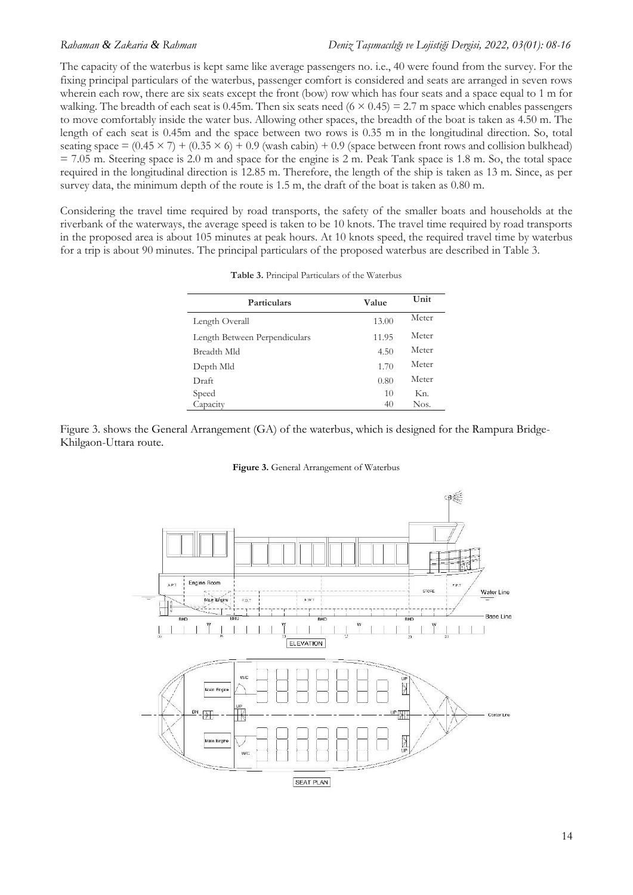### *Rahaman & Zakaria & Rahman Deniz Taşımacılığı ve Lojistiği Dergisi, 2022, 03(01): 08-16*

The capacity of the waterbus is kept same like average passengers no. i.e., 40 were found from the survey. For the fixing principal particulars of the waterbus, passenger comfort is considered and seats are arranged in seven rows wherein each row, there are six seats except the front (bow) row which has four seats and a space equal to 1 m for walking. The breadth of each seat is 0.45m. Then six seats need  $(6 \times 0.45) = 2.7$  m space which enables passengers to move comfortably inside the water bus. Allowing other spaces, the breadth of the boat is taken as 4.50 m. The length of each seat is 0.45m and the space between two rows is 0.35 m in the longitudinal direction. So, total seating space =  $(0.45 \times 7) + (0.35 \times 6) + 0.9$  (wash cabin) + 0.9 (space between front rows and collision bulkhead)  $= 7.05$  m. Steering space is 2.0 m and space for the engine is 2 m. Peak Tank space is 1.8 m. So, the total space required in the longitudinal direction is 12.85 m. Therefore, the length of the ship is taken as 13 m. Since, as per survey data, the minimum depth of the route is 1.5 m, the draft of the boat is taken as 0.80 m.

Considering the travel time required by road transports, the safety of the smaller boats and households at the riverbank of the waterways, the average speed is taken to be 10 knots. The travel time required by road transports in the proposed area is about 105 minutes at peak hours. At 10 knots speed, the required travel time by waterbus for a trip is about 90 minutes. The principal particulars of the proposed waterbus are described in Table 3.

| Particulars                   | Value | Unit  |
|-------------------------------|-------|-------|
| Length Overall                | 13.00 | Meter |
| Length Between Perpendiculars | 11.95 | Meter |
| Breadth Mld                   | 4.50  | Meter |
| Depth Mld                     | 1.70  | Meter |
| Draft                         | 0.80  | Meter |
| Speed                         | 10    | Kn.   |
| Capacity                      | 40    | Nos.  |

**Table 3.** Principal Particulars of the Waterbus

Figure 3. shows the General Arrangement (GA) of the waterbus, which is designed for the Rampura Bridge-Khilgaon-Uttara route.

### **Figure 3.** General Arrangement of Waterbus

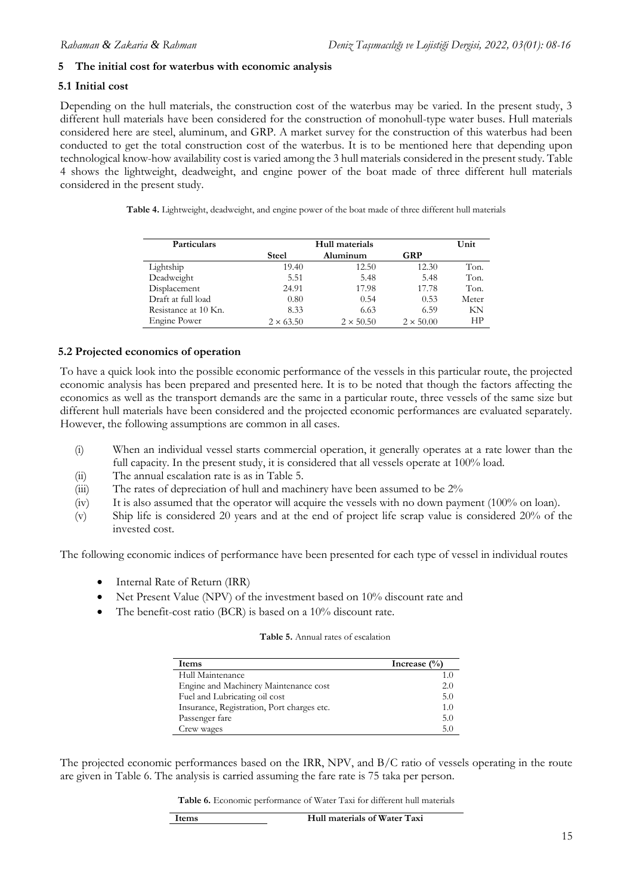### **5 The initial cost for waterbus with economic analysis**

### **5.1 Initial cost**

Depending on the hull materials, the construction cost of the waterbus may be varied. In the present study, 3 different hull materials have been considered for the construction of monohull-type water buses. Hull materials considered here are steel, aluminum, and GRP. A market survey for the construction of this waterbus had been conducted to get the total construction cost of the waterbus. It is to be mentioned here that depending upon technological know-how availability cost is varied among the 3 hull materials considered in the present study. Table 4 shows the lightweight, deadweight, and engine power of the boat made of three different hull materials considered in the present study.

**Table 4.** Lightweight, deadweight, and engine power of the boat made of three different hull materials

| Particulars          | Hull materials   |                  |                  | Unit  |
|----------------------|------------------|------------------|------------------|-------|
|                      | <b>Steel</b>     | Aluminum         | GRP              |       |
| Lightship            | 19.40            | 12.50            | 12.30            | Ton.  |
| Deadweight           | 5.51             | 5.48             | 5.48             | Ton.  |
| Displacement         | 24.91            | 17.98            | 17.78            | Ton.  |
| Draft at full load   | 0.80             | 0.54             | 0.53             | Meter |
| Resistance at 10 Kn. | 8.33             | 6.63             | 6.59             | ΚN    |
| Engine Power         | $2 \times 63.50$ | $2 \times 50.50$ | $2 \times 50.00$ | НP    |

### **5.2 Projected economics of operation**

To have a quick look into the possible economic performance of the vessels in this particular route, the projected economic analysis has been prepared and presented here. It is to be noted that though the factors affecting the economics as well as the transport demands are the same in a particular route, three vessels of the same size but different hull materials have been considered and the projected economic performances are evaluated separately. However, the following assumptions are common in all cases.

- (i) When an individual vessel starts commercial operation, it generally operates at a rate lower than the full capacity. In the present study, it is considered that all vessels operate at 100% load.
- (ii) The annual escalation rate is as in Table 5.
- (iii) The rates of depreciation of hull and machinery have been assumed to be 2%
- (iv) It is also assumed that the operator will acquire the vessels with no down payment (100% on loan).
- (v) Ship life is considered 20 years and at the end of project life scrap value is considered 20% of the invested cost.

The following economic indices of performance have been presented for each type of vessel in individual routes

- Internal Rate of Return (IRR)
- Net Present Value (NPV) of the investment based on 10% discount rate and
- The benefit-cost ratio (BCR) is based on a 10% discount rate.

| Items                                      | Increase $(\% )$ |
|--------------------------------------------|------------------|
| Hull Maintenance                           |                  |
| Engine and Machinery Maintenance cost      | 2.0              |
| Fuel and Lubricating oil cost              | 5.0              |
| Insurance, Registration, Port charges etc. | 1.0              |
| Passenger fare                             | 5.0              |
| Crew wages                                 | 5.0              |

The projected economic performances based on the IRR, NPV, and B/C ratio of vessels operating in the route are given in Table 6. The analysis is carried assuming the fare rate is 75 taka per person.

**Table 6.** Economic performance of Water Taxi for different hull materials

| ltems | Hull materials of Water Taxi |
|-------|------------------------------|